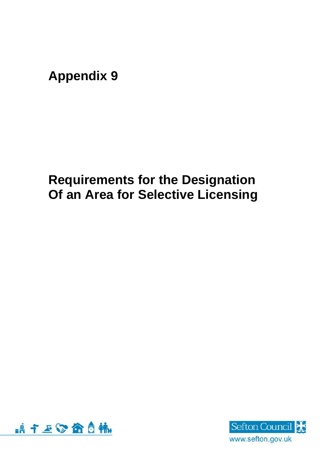## **Appendix 9**

## **Requirements for the Designation Of an Area for Selective Licensing**



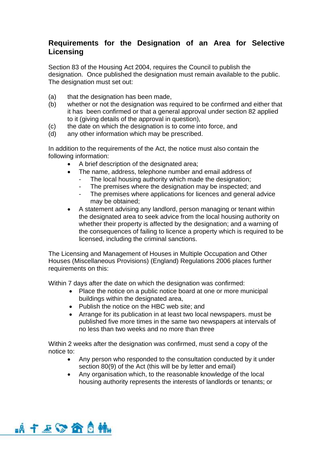## **Requirements for the Designation of an Area for Selective Licensing**

Section 83 of the Housing Act 2004, requires the Council to publish the designation. Once published the designation must remain available to the public. The designation must set out:

- (a) that the designation has been made,
- (b) whether or not the designation was required to be confirmed and either that it has been confirmed or that a general approval under section 82 applied to it (giving details of the approval in question),
- (c) the date on which the designation is to come into force, and
- (d) any other information which may be prescribed.

In addition to the requirements of the Act, the notice must also contain the following information:

- A brief description of the designated area;
- The name, address, telephone number and email address of
	- The local housing authority which made the designation;
	- The premises where the designation may be inspected; and
	- The premises where applications for licences and general advice may be obtained;
- A statement advising any landlord, person managing or tenant within the designated area to seek advice from the local housing authority on whether their property is affected by the designation; and a warning of the consequences of failing to licence a property which is required to be licensed, including the criminal sanctions.

The Licensing and Management of Houses in Multiple Occupation and Other Houses (Miscellaneous Provisions) (England) Regulations 2006 places further requirements on this:

Within 7 days after the date on which the designation was confirmed:

- Place the notice on a public notice board at one or more municipal buildings within the designated area,
- Publish the notice on the HBC web site; and
- Arrange for its publication in at least two local newspapers. must be published five more times in the same two newspapers at intervals of no less than two weeks and no more than three

Within 2 weeks after the designation was confirmed, must send a copy of the notice to:

- Any person who responded to the consultation conducted by it under section 80(9) of the Act (this will be by letter and email)
- Any organisation which, to the reasonable knowledge of the local housing authority represents the interests of landlords or tenants; or